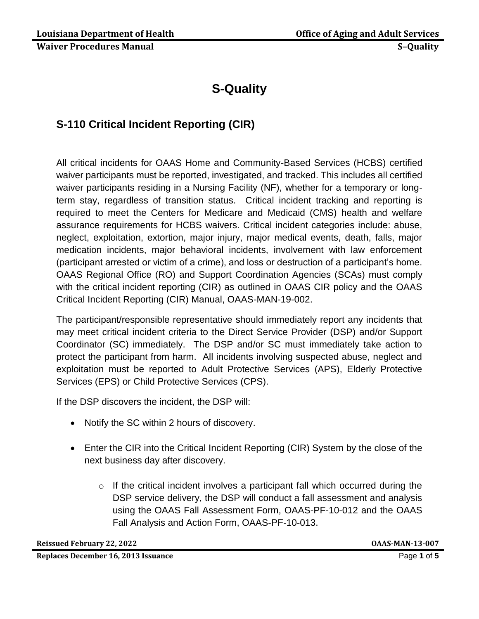# **S-Quality**

# **S-110 Critical Incident Reporting (CIR)**

All critical incidents for OAAS Home and Community-Based Services (HCBS) certified waiver participants must be reported, investigated, and tracked. This includes all certified waiver participants residing in a Nursing Facility (NF), whether for a temporary or longterm stay, regardless of transition status. Critical incident tracking and reporting is required to meet the Centers for Medicare and Medicaid (CMS) health and welfare assurance requirements for HCBS waivers. Critical incident categories include: abuse, neglect, exploitation, extortion, major injury, major medical events, death, falls, major medication incidents, major behavioral incidents, involvement with law enforcement (participant arrested or victim of a crime), and loss or destruction of a participant's home. OAAS Regional Office (RO) and Support Coordination Agencies (SCAs) must comply with the critical incident reporting (CIR) as outlined in OAAS CIR policy and the OAAS Critical Incident Reporting (CIR) Manual, OAAS-MAN-19-002.

The participant/responsible representative should immediately report any incidents that may meet critical incident criteria to the Direct Service Provider (DSP) and/or Support Coordinator (SC) immediately. The DSP and/or SC must immediately take action to protect the participant from harm. All incidents involving suspected abuse, neglect and exploitation must be reported to Adult Protective Services (APS), Elderly Protective Services (EPS) or Child Protective Services (CPS).

If the DSP discovers the incident, the DSP will:

- Notify the SC within 2 hours of discovery.
- Enter the CIR into the Critical Incident Reporting (CIR) System by the close of the next business day after discovery.
	- o If the critical incident involves a participant fall which occurred during the DSP service delivery, the DSP will conduct a fall assessment and analysis using the OAAS Fall Assessment Form, OAAS-PF-10-012 and the OAAS Fall Analysis and Action Form, OAAS-PF-10-013.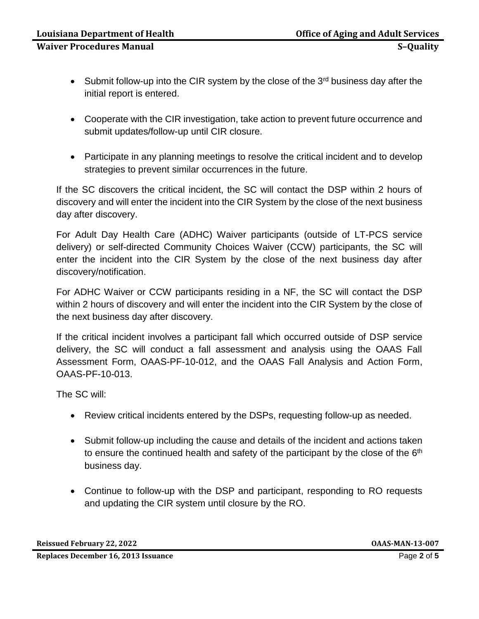- Submit follow-up into the CIR system by the close of the  $3<sup>rd</sup>$  business day after the initial report is entered.
- Cooperate with the CIR investigation, take action to prevent future occurrence and submit updates/follow-up until CIR closure.
- Participate in any planning meetings to resolve the critical incident and to develop strategies to prevent similar occurrences in the future.

If the SC discovers the critical incident, the SC will contact the DSP within 2 hours of discovery and will enter the incident into the CIR System by the close of the next business day after discovery.

For Adult Day Health Care (ADHC) Waiver participants (outside of LT-PCS service delivery) or self-directed Community Choices Waiver (CCW) participants, the SC will enter the incident into the CIR System by the close of the next business day after discovery/notification.

For ADHC Waiver or CCW participants residing in a NF, the SC will contact the DSP within 2 hours of discovery and will enter the incident into the CIR System by the close of the next business day after discovery.

If the critical incident involves a participant fall which occurred outside of DSP service delivery, the SC will conduct a fall assessment and analysis using the OAAS Fall Assessment Form, OAAS-PF-10-012, and the OAAS Fall Analysis and Action Form, OAAS-PF-10-013.

The SC will:

- Review critical incidents entered by the DSPs, requesting follow-up as needed.
- Submit follow-up including the cause and details of the incident and actions taken to ensure the continued health and safety of the participant by the close of the  $6<sup>th</sup>$ business day.
- Continue to follow-up with the DSP and participant, responding to RO requests and updating the CIR system until closure by the RO.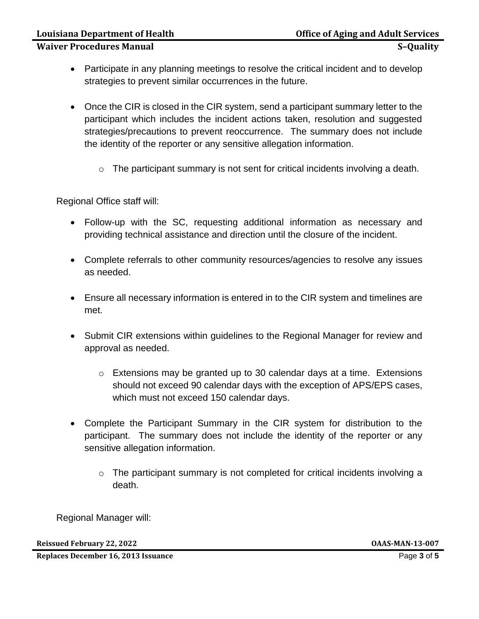- Participate in any planning meetings to resolve the critical incident and to develop strategies to prevent similar occurrences in the future.
- Once the CIR is closed in the CIR system, send a participant summary letter to the participant which includes the incident actions taken, resolution and suggested strategies/precautions to prevent reoccurrence. The summary does not include the identity of the reporter or any sensitive allegation information.
	- $\circ$  The participant summary is not sent for critical incidents involving a death.

Regional Office staff will:

- Follow-up with the SC, requesting additional information as necessary and providing technical assistance and direction until the closure of the incident.
- Complete referrals to other community resources/agencies to resolve any issues as needed.
- Ensure all necessary information is entered in to the CIR system and timelines are met.
- Submit CIR extensions within guidelines to the Regional Manager for review and approval as needed.
	- o Extensions may be granted up to 30 calendar days at a time. Extensions should not exceed 90 calendar days with the exception of APS/EPS cases, which must not exceed 150 calendar days.
- Complete the Participant Summary in the CIR system for distribution to the participant. The summary does not include the identity of the reporter or any sensitive allegation information.
	- o The participant summary is not completed for critical incidents involving a death.

Regional Manager will:

**Reissued February 22, 2022 OAAS-MAN-13-007**

**Replaces December 16, 2013 Issuance** Page **3** of **5**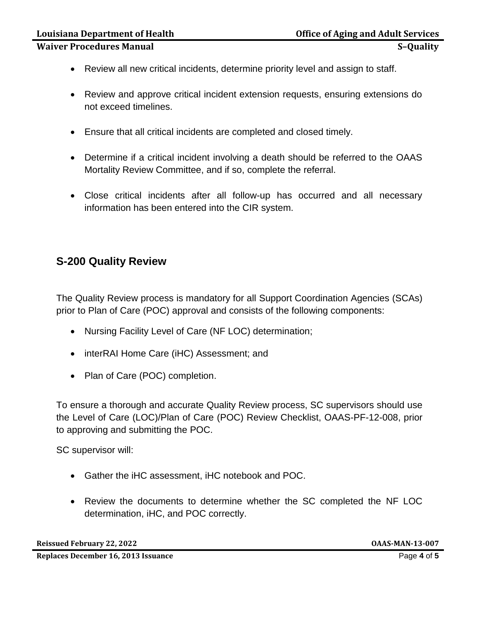**Waiver Procedures Manual S–Quality**

- Review all new critical incidents, determine priority level and assign to staff.
- Review and approve critical incident extension requests, ensuring extensions do not exceed timelines.
- Ensure that all critical incidents are completed and closed timely.
- Determine if a critical incident involving a death should be referred to the OAAS Mortality Review Committee, and if so, complete the referral.
- Close critical incidents after all follow-up has occurred and all necessary information has been entered into the CIR system.

## **S-200 Quality Review**

The Quality Review process is mandatory for all Support Coordination Agencies (SCAs) prior to Plan of Care (POC) approval and consists of the following components:

- Nursing Facility Level of Care (NF LOC) determination;
- interRAI Home Care (iHC) Assessment; and
- Plan of Care (POC) completion.

To ensure a thorough and accurate Quality Review process, SC supervisors should use the Level of Care (LOC)/Plan of Care (POC) Review Checklist, OAAS-PF-12-008, prior to approving and submitting the POC.

SC supervisor will:

- Gather the iHC assessment, iHC notebook and POC.
- Review the documents to determine whether the SC completed the NF LOC determination, iHC, and POC correctly.

**Reissued February 22, 2022 OAAS-MAN-13-007**